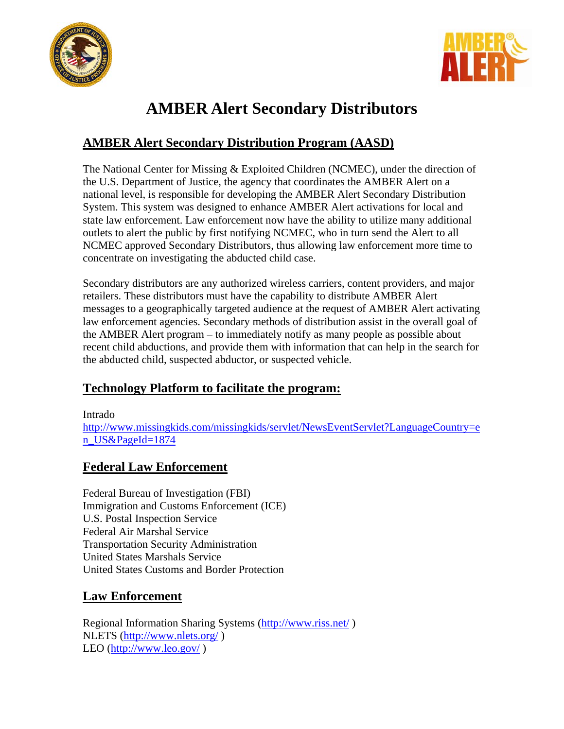



# **AMBER Alert Secondary Distributors**

# **AMBER Alert Secondary Distribution Program (AASD)**

The National Center for Missing & Exploited Children (NCMEC), under the direction of the U.S. Department of Justice, the agency that coordinates the AMBER Alert on a national level, is responsible for developing the AMBER Alert Secondary Distribution System. This system was designed to enhance AMBER Alert activations for local and state law enforcement. Law enforcement now have the ability to utilize many additional outlets to alert the public by first notifying NCMEC, who in turn send the Alert to all NCMEC approved Secondary Distributors, thus allowing law enforcement more time to concentrate on investigating the abducted child case.

Secondary distributors are any authorized wireless carriers, content providers, and major retailers. These distributors must have the capability to distribute AMBER Alert messages to a geographically targeted audience at the request of AMBER Alert activating law enforcement agencies. Secondary methods of distribution assist in the overall goal of the AMBER Alert program – to immediately notify as many people as possible about recent child abductions, and provide them with information that can help in the search for the abducted child, suspected abductor, or suspected vehicle.

## **Technology Platform to facilitate the program:**

Intrado

http://www.missingkids.com/missingkids/servlet/NewsEventServlet?LanguageCountry=e n\_US&PageId=1874

## **Federal Law Enforcement**

Federal Bureau of Investigation (FBI) Immigration and Customs Enforcement (ICE) U.S. Postal Inspection Service Federal Air Marshal Service Transportation Security Administration United States Marshals Service United States Customs and Border Protection

## **Law Enforcement**

Regional Information Sharing Systems (http://www.riss.net/ ) NLETS (http://www.nlets.org/ ) LEO (http://www.leo.gov/ )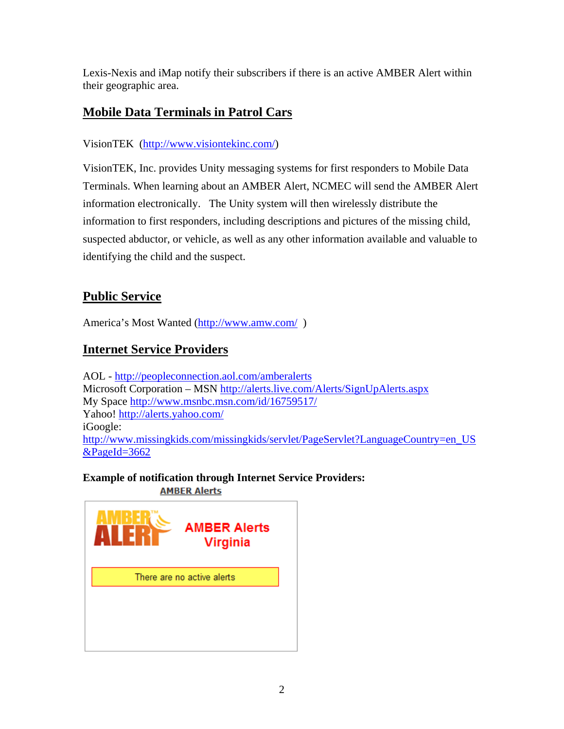Lexis-Nexis and iMap notify their subscribers if there is an active AMBER Alert within their geographic area.

# **Mobile Data Terminals in Patrol Cars**

#### VisionTEK (http://www.visiontekinc.com/)

VisionTEK, Inc. provides Unity messaging systems for first responders to Mobile Data Terminals. When learning about an AMBER Alert, NCMEC will send the AMBER Alert information electronically. The Unity system will then wirelessly distribute the information to first responders, including descriptions and pictures of the missing child, suspected abductor, or vehicle, as well as any other information available and valuable to identifying the child and the suspect.

# **Public Service**

America's Most Wanted (http://www.amw.com/)

# **Internet Service Providers**

AOL - http://peopleconnection.aol.com/amberalerts Microsoft Corporation – MSN http://alerts.live.com/Alerts/SignUpAlerts.aspx My Space http://www.msnbc.msn.com/id/16759517/ Yahoo! http://alerts.yahoo.com/ iGoogle: http://www.missingkids.com/missingkids/servlet/PageServlet?LanguageCountry=en\_US &PageId=3662

**Example of notification through Internet Service Providers: AMBER Alerts** 

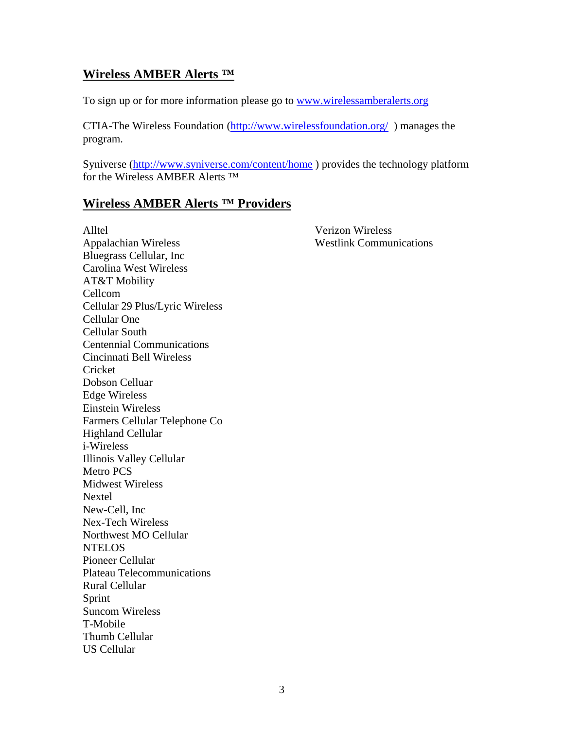#### **Wireless AMBER Alerts ™**

To sign up or for more information please go to www.wirelessamberalerts.org

CTIA-The Wireless Foundation (http://www.wirelessfoundation.org/ ) manages the program.

Syniverse (http://www.syniverse.com/content/home ) provides the technology platform for the Wireless AMBER Alerts ™

#### **Wireless AMBER Alerts ™ Providers**

Alltel Verizon Wireless Appalachian Wireless Westlink Communications Bluegrass Cellular, Inc Carolina West Wireless AT&T Mobility Cellcom Cellular 29 Plus/Lyric Wireless Cellular One Cellular South Centennial Communications Cincinnati Bell Wireless Cricket Dobson Celluar Edge Wireless Einstein Wireless Farmers Cellular Telephone Co Highland Cellular i-Wireless Illinois Valley Cellular Metro PCS Midwest Wireless Nextel New-Cell, Inc Nex-Tech Wireless Northwest MO Cellular **NTELOS** Pioneer Cellular Plateau Telecommunications Rural Cellular Sprint Suncom Wireless T-Mobile Thumb Cellular US Cellular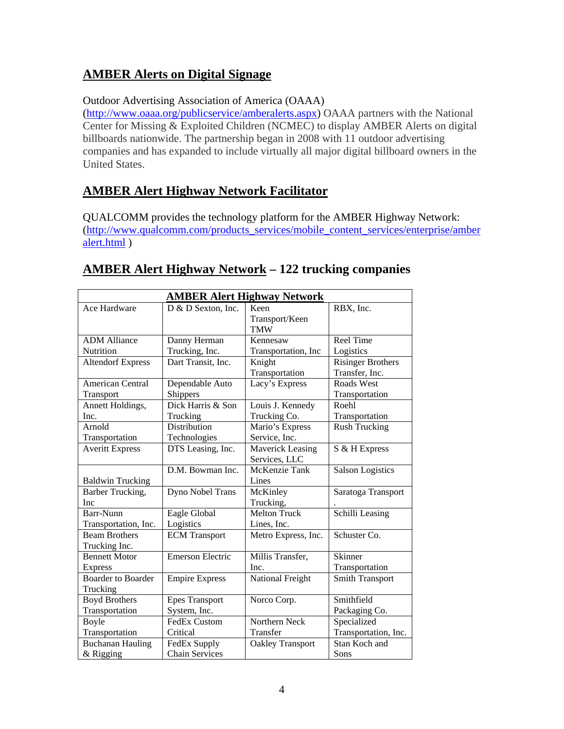# **AMBER Alerts on Digital Signage**

#### Outdoor Advertising Association of America (OAAA)

(http://www.oaaa.org/publicservice/amberalerts.aspx) OAAA partners with the National Center for Missing & Exploited Children (NCMEC) to display AMBER Alerts on digital billboards nationwide. The partnership began in 2008 with 11 outdoor advertising companies and has expanded to include virtually all major digital billboard owners in the United States.

## **AMBER Alert Highway Network Facilitator**

QUALCOMM provides the technology platform for the AMBER Highway Network: (http://www.qualcomm.com/products\_services/mobile\_content\_services/enterprise/amber alert.html )

| <b>AMBER Alert Highway Network</b>    |                              |                                          |                                            |  |
|---------------------------------------|------------------------------|------------------------------------------|--------------------------------------------|--|
| Ace Hardware                          | $D & D$ Sexton, Inc.         | Keen<br>Transport/Keen<br><b>TMW</b>     | RBX, Inc.                                  |  |
| <b>ADM</b> Alliance                   | Danny Herman                 | Kennesaw                                 | <b>Reel Time</b>                           |  |
| Nutrition                             | Trucking, Inc.               | Transportation, Inc                      | Logistics                                  |  |
| <b>Altendorf Express</b>              | Dart Transit, Inc.           | Knight<br>Transportation                 | <b>Risinger Brothers</b><br>Transfer, Inc. |  |
| <b>American Central</b><br>Transport  | Dependable Auto<br>Shippers  | Lacy's Express                           | Roads West<br>Transportation               |  |
| Annett Holdings,                      | Dick Harris & Son            | Louis J. Kennedy                         | Roehl                                      |  |
| Inc.                                  | Trucking                     | Trucking Co.                             | Transportation                             |  |
| Arnold<br>Transportation              | Distribution<br>Technologies | Mario's Express<br>Service, Inc.         | <b>Rush Trucking</b>                       |  |
| <b>Averitt Express</b>                | DTS Leasing, Inc.            | <b>Maverick Leasing</b><br>Services, LLC | S & H Express                              |  |
| <b>Baldwin Trucking</b>               | D.M. Bowman Inc.             | McKenzie Tank<br>Lines                   | <b>Salson Logistics</b>                    |  |
| Barber Trucking,<br><b>Inc</b>        | Dyno Nobel Trans             | McKinley<br>Trucking,                    | Saratoga Transport                         |  |
| Barr-Nunn<br>Transportation, Inc.     | Eagle Global<br>Logistics    | <b>Melton Truck</b><br>Lines, Inc.       | Schilli Leasing                            |  |
| <b>Beam Brothers</b><br>Trucking Inc. | <b>ECM</b> Transport         | Metro Express, Inc.                      | Schuster Co.                               |  |
| <b>Bennett Motor</b>                  | <b>Emerson Electric</b>      | Millis Transfer,                         | Skinner                                    |  |
| <b>Express</b>                        |                              | Inc.                                     | Transportation                             |  |
| <b>Boarder</b> to Boarder<br>Trucking | <b>Empire Express</b>        | National Freight                         | <b>Smith Transport</b>                     |  |
| <b>Boyd Brothers</b>                  | <b>Epes Transport</b>        | Norco Corp.                              | Smithfield                                 |  |
| Transportation                        | System, Inc.                 |                                          | Packaging Co.                              |  |
| Boyle                                 | <b>FedEx Custom</b>          | Northern Neck                            | Specialized                                |  |
| Transportation                        | Critical                     | Transfer                                 | Transportation, Inc.                       |  |
| <b>Buchanan Hauling</b>               | FedEx Supply                 | <b>Oakley Transport</b>                  | Stan Koch and                              |  |
| & Rigging                             | <b>Chain Services</b>        |                                          | Sons                                       |  |

## **AMBER Alert Highway Network – 122 trucking companies**